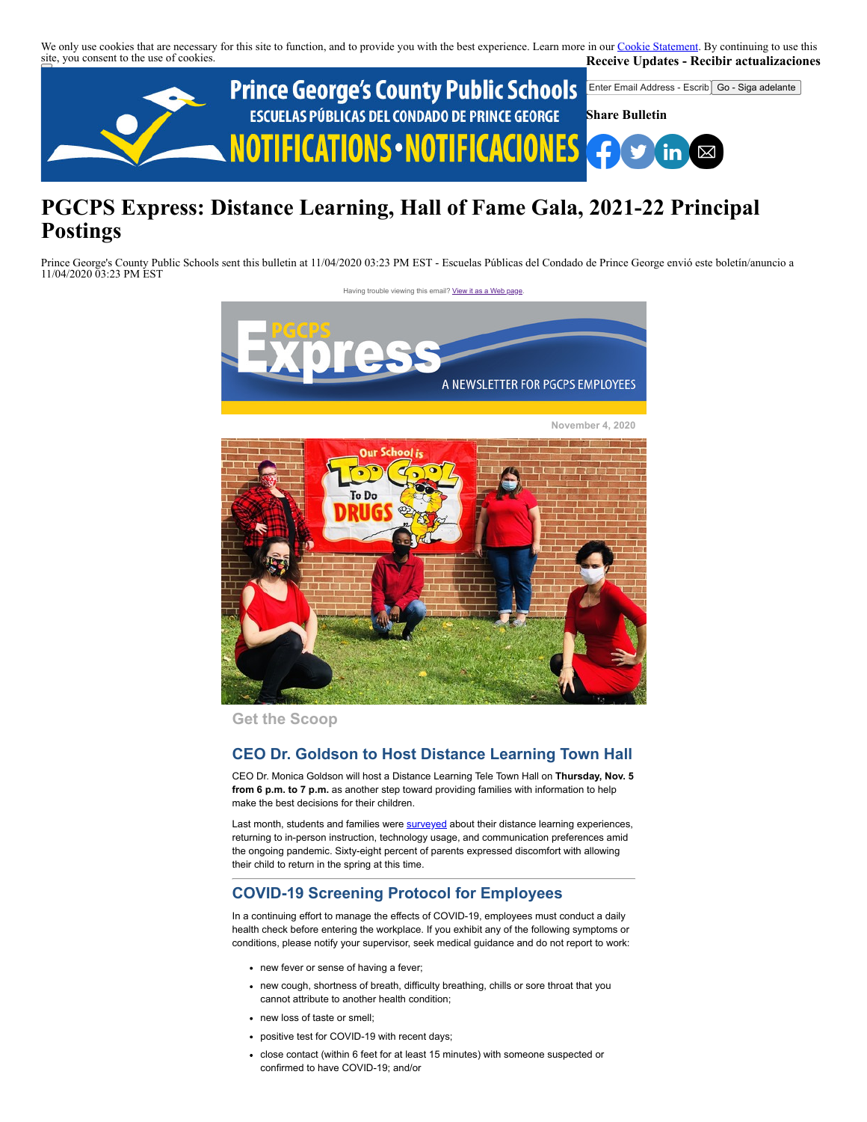We only use cookies that are necessary for this site to function, and to provide you with the best experience. Learn more in our [Cookie Statement.](https://subscriberhelp.granicus.com/s/article/Cookies) By continuing to use this site, you consent to the use of cookies. **Receive Updates - Recibir actualizaciones**



# **PGCPS Express: Distance Learning, Hall of Fame Gala, 2021-22 Principal Postings**

Prince George's County Public Schools sent this bulletin at 11/04/2020 03:23 PM EST - Escuelas Públicas del Condado de Prince George envió este boletín/anuncio a 11/04/2020 03:23 PM EST

Having trouble viewing this email? [View it as a Web page](https://content.govdelivery.com/accounts/PGCPS/bulletins/2a85a9e)



**Get the Scoop**

# **CEO Dr. Goldson to Host Distance Learning Town Hall**

CEO Dr. Monica Goldson will host a Distance Learning Tele Town Hall on **Thursday, Nov. 5 from 6 p.m. to 7 p.m.** as another step toward providing families with information to help make the best decisions for their children.

Last month, students and families were **surveyed** about their distance learning experiences, returning to in-person instruction, technology usage, and communication preferences amid the ongoing pandemic. Sixty-eight percent of parents expressed discomfort with allowing their child to return in the spring at this time.

# **COVID-19 Screening Protocol for Employees**

In a continuing effort to manage the effects of COVID-19, employees must conduct a daily health check before entering the workplace. If you exhibit any of the following symptoms or conditions, please notify your supervisor, seek medical guidance and do not report to work:

- new fever or sense of having a fever;
- new cough, shortness of breath, difficulty breathing, chills or sore throat that you cannot attribute to another health condition;
- new loss of taste or smell;
- positive test for COVID-19 with recent days;
- close contact (within 6 feet for at least 15 minutes) with someone suspected or confirmed to have COVID-19; and/or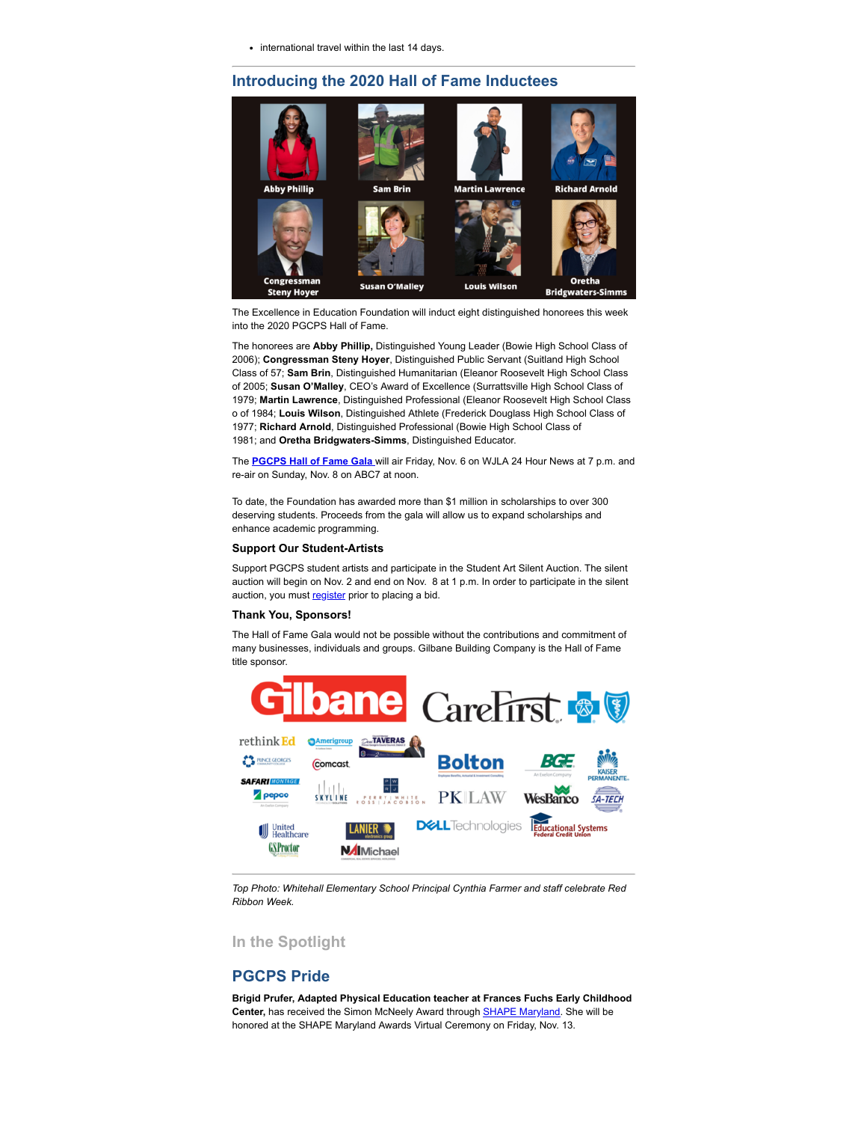• international travel within the last 14 days.

# **Introducing the 2020 Hall of Fame Inductees**



The Excellence in Education Foundation will induct eight distinguished honorees this week into the 2020 PGCPS Hall of Fame.

The honorees are **Abby Phillip,** Distinguished Young Leader (Bowie High School Class of 2006); **Congressman Steny Hoyer**, Distinguished Public Servant (Suitland High School Class of 57; **Sam Brin**, Distinguished Humanitarian (Eleanor Roosevelt High School Class of 2005; **Susan O'Malley**, CEO's Award of Excellence (Surrattsville High School Class of 1979; **Martin Lawrence**, Distinguished Professional (Eleanor Roosevelt High School Class o of 1984; **Louis Wilson**, Distinguished Athlete (Frederick Douglass High School Class of 1977; **Richard Arnold**, Distinguished Professional (Bowie High School Class of 1981; and **Oretha Bridgwaters-Simms**, Distinguished Educator.

The **[PGCPS Hall of Fame Gala](https://offices.pgcps.org/2020gala/)** will air Friday, Nov. 6 on WJLA 24 Hour News at 7 p.m. and re-air on Sunday, Nov. 8 on ABC7 at noon.

To date, the Foundation has awarded more than \$1 million in scholarships to over 300 deserving students. Proceeds from the gala will allow us to expand scholarships and enhance academic programming.

#### **Support Our Student-Artists**

Support PGCPS student artists and participate in the Student Art Silent Auction. The silent auction will begin on Nov. 2 and end on Nov. 8 at 1 p.m. In order to participate in the silent auction, you must [register](https://www.charityauctionstoday.com/register/pgcpshof-14617) prior to placing a bid.

#### **Thank You, Sponsors!**

The Hall of Fame Gala would not be possible without the contributions and commitment of many businesses, individuals and groups. Gilbane Building Company is the Hall of Fame title sponsor.



*Top Photo: Whitehall Elementary School Principal Cynthia Farmer and staff celebrate Red Ribbon Week.*

#### **In the Spotlight**

#### **PGCPS Pride**

**Brigid Prufer, Adapted Physical Education teacher at Frances Fuchs Early Childhood Center,** has received the Simon McNeely Award through [SHAPE Maryland](https://www.shapemd.org/#/). She will be honored at the SHAPE Maryland Awards Virtual Ceremony on Friday, Nov. 13.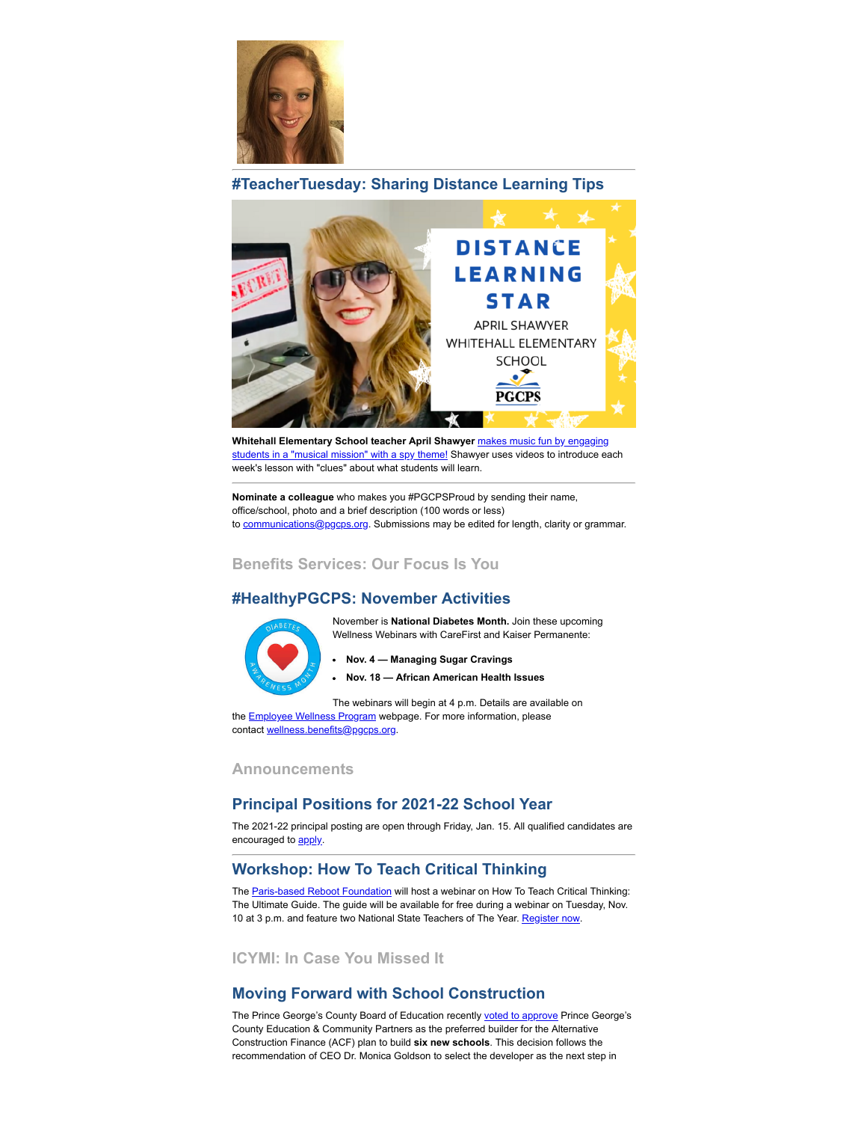

# **#TeacherTuesday: Sharing Distance Learning Tips**



Whitehall Elementary School teacher April Shawyer makes music fun by engaging [students in a "musical mission" with a spy theme! Shawyer uses videos to introduce ea](https://www.youtube.com/watch?v=OsX9MF7XEP8&feature=youtu.be)ch week's lesson with "clues" about what students will learn.

**Nominate a colleague** who makes you #PGCPSProud by sending their name, office/school, photo and a brief description (100 words or less) to [communications@pgcps.org](mailto:communications@pgcps.org). Submissions may be edited for length, clarity or grammar.

## **Benefits Services: Our Focus Is You**

# **#HealthyPGCPS: November Activities**

November is **National Diabetes Month.** Join these upcoming Wellness Webinars with CareFirst and Kaiser Permanente:

- **Nov. 4 Managing Sugar Cravings**
- **Nov. 18 African American Health Issues**

The webinars will begin at 4 p.m. Details are available on the **Employee Wellness Program** webpage. For more information, please contact [wellness.benefits@pgcps.org.](mailto:wellness.benefits@pgcps.org)

# **Announcements**

# **Principal Positions for 2021-22 School Year**

The 2021-22 principal posting are open through Friday, Jan. 15. All qualified candidates are encouraged to **apply**.

# **Workshop: How To Teach Critical Thinking**

The [Paris-based Reboot Foundation](https://reboot-foundation.org/about/) will host a webinar on How To Teach Critical Thinking: The Ultimate Guide. The guide will be available for free during a webinar on Tuesday, Nov. 10 at 3 p.m. and feature two National State Teachers of The Year. [Register now.](https://reboot-foundation.org/upcoming-events/)

**ICYMI: In Case You Missed It**

## **Moving Forward with School Construction**

The Prince George's County Board of Education recently [voted to approve](https://offices.pgcps.org/communications/cards/news/2020---2021/October/Board-of-Education-Approves-Builder-for-Alternative-School-Construction-Financing-Plan/) Prince George's County Education & Community Partners as the preferred builder for the Alternative Construction Finance (ACF) plan to build **six new schools**. This decision follows the recommendation of CEO Dr. Monica Goldson to select the developer as the next step in